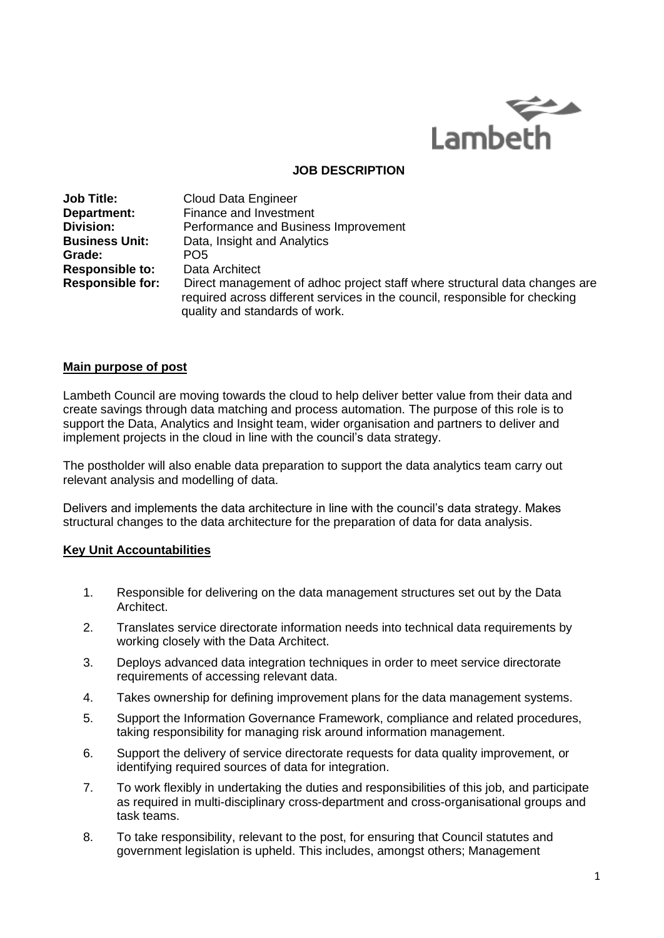

## **JOB DESCRIPTION**

| <b>Job Title:</b>       | <b>Cloud Data Engineer</b>                                                                                                                                                                  |
|-------------------------|---------------------------------------------------------------------------------------------------------------------------------------------------------------------------------------------|
| Department:             | Finance and Investment                                                                                                                                                                      |
| <b>Division:</b>        | Performance and Business Improvement                                                                                                                                                        |
| <b>Business Unit:</b>   | Data, Insight and Analytics                                                                                                                                                                 |
| Grade:                  | PO <sub>5</sub>                                                                                                                                                                             |
| <b>Responsible to:</b>  | Data Architect                                                                                                                                                                              |
| <b>Responsible for:</b> | Direct management of adhoc project staff where structural data changes are<br>required across different services in the council, responsible for checking<br>quality and standards of work. |

## **Main purpose of post**

Lambeth Council are moving towards the cloud to help deliver better value from their data and create savings through data matching and process automation. The purpose of this role is to support the Data, Analytics and Insight team, wider organisation and partners to deliver and implement projects in the cloud in line with the council's data strategy.

The postholder will also enable data preparation to support the data analytics team carry out relevant analysis and modelling of data.

Delivers and implements the data architecture in line with the council's data strategy. Makes structural changes to the data architecture for the preparation of data for data analysis.

## **Key Unit Accountabilities**

- 1. Responsible for delivering on the data management structures set out by the Data Architect.
- 2. Translates service directorate information needs into technical data requirements by working closely with the Data Architect.
- 3. Deploys advanced data integration techniques in order to meet service directorate requirements of accessing relevant data.
- 4. Takes ownership for defining improvement plans for the data management systems.
- 5. Support the Information Governance Framework, compliance and related procedures, taking responsibility for managing risk around information management.
- 6. Support the delivery of service directorate requests for data quality improvement, or identifying required sources of data for integration.
- 7. To work flexibly in undertaking the duties and responsibilities of this job, and participate as required in multi-disciplinary cross-department and cross-organisational groups and task teams.
- 8. To take responsibility, relevant to the post, for ensuring that Council statutes and government legislation is upheld. This includes, amongst others; Management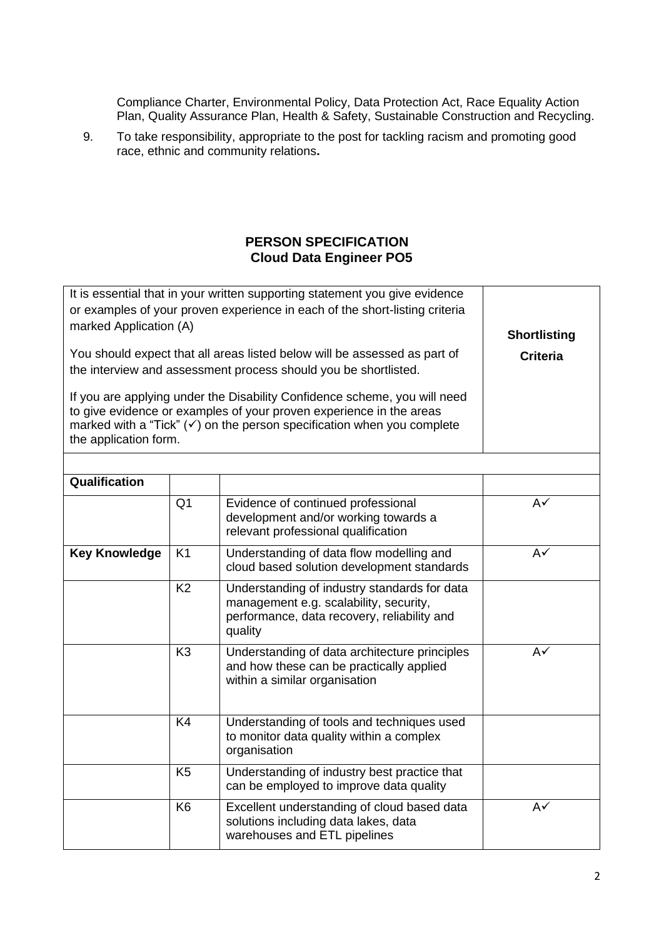Compliance Charter, Environmental Policy, Data Protection Act, Race Equality Action Plan, Quality Assurance Plan, Health & Safety, Sustainable Construction and Recycling.

9. To take responsibility, appropriate to the post for tackling racism and promoting good race, ethnic and community relations**.**

## **PERSON SPECIFICATION Cloud Data Engineer PO5**

| It is essential that in your written supporting statement you give evidence<br>or examples of your proven experience in each of the short-listing criteria<br>marked Application (A)<br>You should expect that all areas listed below will be assessed as part of<br>the interview and assessment process should you be shortlisted.<br>If you are applying under the Disability Confidence scheme, you will need<br>to give evidence or examples of your proven experience in the areas<br>marked with a "Tick" $(\check{\phantom{a}})$ on the person specification when you complete<br>the application form. | <b>Shortlisting</b><br><b>Criteria</b> |                                                                                                                                                  |               |
|-----------------------------------------------------------------------------------------------------------------------------------------------------------------------------------------------------------------------------------------------------------------------------------------------------------------------------------------------------------------------------------------------------------------------------------------------------------------------------------------------------------------------------------------------------------------------------------------------------------------|----------------------------------------|--------------------------------------------------------------------------------------------------------------------------------------------------|---------------|
|                                                                                                                                                                                                                                                                                                                                                                                                                                                                                                                                                                                                                 |                                        |                                                                                                                                                  |               |
| Qualification                                                                                                                                                                                                                                                                                                                                                                                                                                                                                                                                                                                                   |                                        |                                                                                                                                                  |               |
|                                                                                                                                                                                                                                                                                                                                                                                                                                                                                                                                                                                                                 | Q <sub>1</sub>                         | Evidence of continued professional<br>development and/or working towards a<br>relevant professional qualification                                | $A\checkmark$ |
| <b>Key Knowledge</b>                                                                                                                                                                                                                                                                                                                                                                                                                                                                                                                                                                                            | K <sub>1</sub>                         | Understanding of data flow modelling and<br>cloud based solution development standards                                                           | $A\checkmark$ |
|                                                                                                                                                                                                                                                                                                                                                                                                                                                                                                                                                                                                                 | K <sub>2</sub>                         | Understanding of industry standards for data<br>management e.g. scalability, security,<br>performance, data recovery, reliability and<br>quality |               |
|                                                                                                                                                                                                                                                                                                                                                                                                                                                                                                                                                                                                                 | K <sub>3</sub>                         | Understanding of data architecture principles<br>and how these can be practically applied<br>within a similar organisation                       | $A\checkmark$ |
|                                                                                                                                                                                                                                                                                                                                                                                                                                                                                                                                                                                                                 | K <sub>4</sub>                         | Understanding of tools and techniques used<br>to monitor data quality within a complex<br>organisation                                           |               |
|                                                                                                                                                                                                                                                                                                                                                                                                                                                                                                                                                                                                                 | K <sub>5</sub>                         | Understanding of industry best practice that<br>can be employed to improve data quality                                                          |               |
|                                                                                                                                                                                                                                                                                                                                                                                                                                                                                                                                                                                                                 | K <sub>6</sub>                         | Excellent understanding of cloud based data<br>solutions including data lakes, data<br>warehouses and ETL pipelines                              | $A\checkmark$ |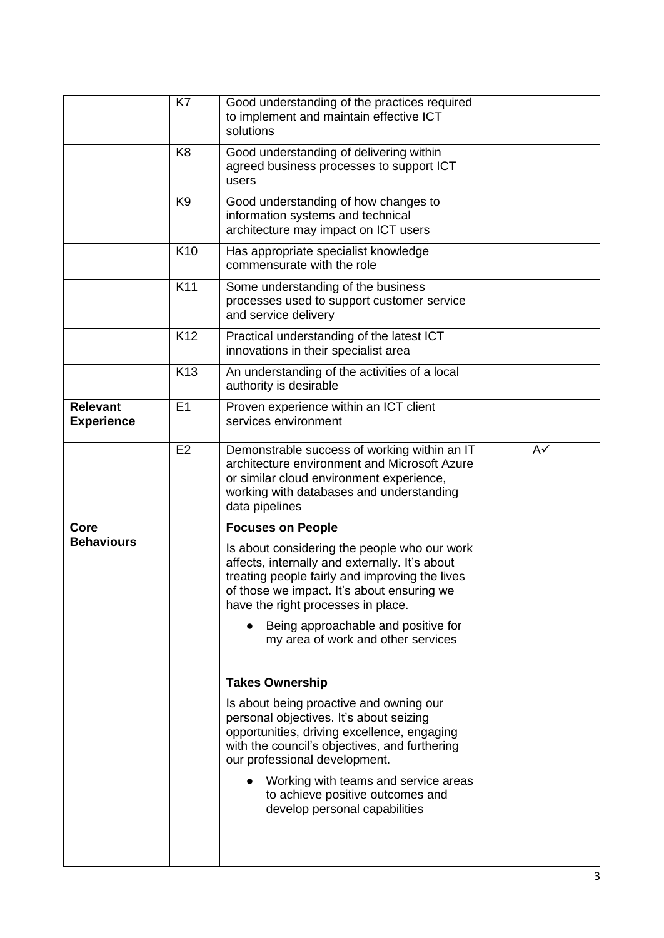|                                      | K7              | Good understanding of the practices required<br>to implement and maintain effective ICT<br>solutions                                                                                                                                 |               |
|--------------------------------------|-----------------|--------------------------------------------------------------------------------------------------------------------------------------------------------------------------------------------------------------------------------------|---------------|
|                                      | K <sub>8</sub>  | Good understanding of delivering within<br>agreed business processes to support ICT<br>users                                                                                                                                         |               |
|                                      | K <sub>9</sub>  | Good understanding of how changes to<br>information systems and technical<br>architecture may impact on ICT users                                                                                                                    |               |
|                                      | K <sub>10</sub> | Has appropriate specialist knowledge<br>commensurate with the role                                                                                                                                                                   |               |
|                                      | K11             | Some understanding of the business<br>processes used to support customer service<br>and service delivery                                                                                                                             |               |
|                                      | K <sub>12</sub> | Practical understanding of the latest ICT<br>innovations in their specialist area                                                                                                                                                    |               |
|                                      | K <sub>13</sub> | An understanding of the activities of a local<br>authority is desirable                                                                                                                                                              |               |
| <b>Relevant</b><br><b>Experience</b> | E1              | Proven experience within an ICT client<br>services environment                                                                                                                                                                       |               |
|                                      | E2              | Demonstrable success of working within an IT<br>architecture environment and Microsoft Azure<br>or similar cloud environment experience,<br>working with databases and understanding<br>data pipelines                               | $A\checkmark$ |
| Core                                 |                 | <b>Focuses on People</b>                                                                                                                                                                                                             |               |
| <b>Behaviours</b>                    |                 | Is about considering the people who our work<br>affects, internally and externally. It's about<br>treating people fairly and improving the lives<br>of those we impact. It's about ensuring we<br>have the right processes in place. |               |
|                                      |                 | Being approachable and positive for<br>my area of work and other services                                                                                                                                                            |               |
|                                      |                 | <b>Takes Ownership</b>                                                                                                                                                                                                               |               |
|                                      |                 | Is about being proactive and owning our<br>personal objectives. It's about seizing<br>opportunities, driving excellence, engaging<br>with the council's objectives, and furthering<br>our professional development.                  |               |
|                                      |                 | Working with teams and service areas<br>to achieve positive outcomes and<br>develop personal capabilities                                                                                                                            |               |
|                                      |                 |                                                                                                                                                                                                                                      |               |